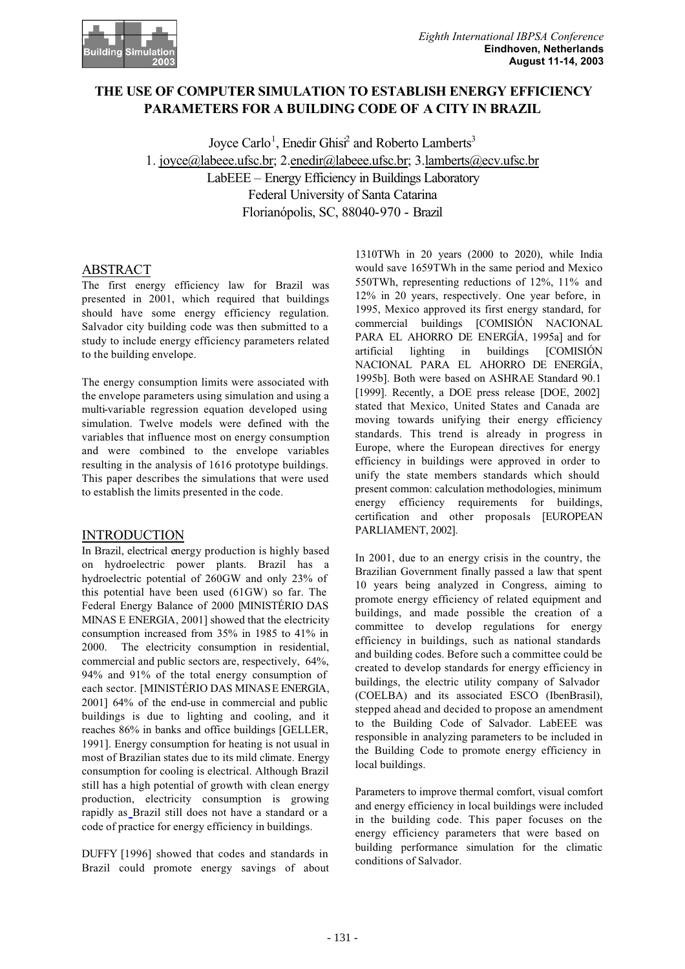

# **THE USE OF COMPUTER SIMULATION TO ESTABLISH ENERGY EFFICIENCY PARAMETERS FOR A BUILDING CODE OF A CITY IN BRAZIL**

Joyce Carlo<sup>1</sup>, Enedir Ghisi<sup>2</sup> and Roberto Lamberts<sup>3</sup> 1. joyce@labeee.ufsc.br; 2.enedir@labeee.ufsc.br; 3.lamberts@ecv.ufsc.br LabEEE – Energy Efficiency in Buildings Laboratory Federal University of Santa Catarina Florianópolis, SC, 88040-970 - Brazil

## ABSTRACT

The first energy efficiency law for Brazil was presented in 2001, which required that buildings should have some energy efficiency regulation. Salvador city building code was then submitted to a study to include energy efficiency parameters related to the building envelope.

The energy consumption limits were associated with the envelope parameters using simulation and using a multi-variable regression equation developed using simulation. Twelve models were defined with the variables that influence most on energy consumption and were combined to the envelope variables resulting in the analysis of 1616 prototype buildings. This paper describes the simulations that were used to establish the limits presented in the code.

## INTRODUCTION

In Brazil, electrical energy production is highly based on hydroelectric power plants. Brazil has a hydroelectric potential of 260GW and only 23% of this potential have been used (61GW) so far. The Federal Energy Balance of 2000 [MINISTÉRIO DAS MINAS E ENERGIA, 2001] showed that the electricity consumption increased from 35% in 1985 to 41% in 2000. The electricity consumption in residential, commercial and public sectors are, respectively, 64%, 94% and 91% of the total energy consumption of each sector. [MINISTÉRIO DAS MINAS E ENERGIA, 2001] 64% of the end-use in commercial and public buildings is due to lighting and cooling, and it reaches 86% in banks and office buildings [GELLER, 1991]. Energy consumption for heating is not usual in most of Brazilian states due to its mild climate. Energy consumption for cooling is electrical. Although Brazil still has a high potential of growth with clean energy production, electricity consumption is growing rapidly as Brazil still does not have a standard or a code of practice for energy efficiency in buildings.

DUFFY [1996] showed that codes and standards in Brazil could promote energy savings of about

1310TWh in 20 years (2000 to 2020), while India would save 1659TWh in the same period and Mexico 550TWh, representing reductions of 12%, 11% and 12% in 20 years, respectively. One year before, in 1995, Mexico approved its first energy standard, for commercial buildings [COMISIÓN NACIONAL PARA EL AHORRO DE ENERGÍA, 1995a] and for artificial lighting in buildings [COMISIÓN NACIONAL PARA EL AHORRO DE ENERGÍA, 1995b]. Both were based on ASHRAE Standard 90.1 [1999]. Recently, a DOE press release [DOE, 2002] stated that Mexico, United States and Canada are moving towards unifying their energy efficiency standards. This trend is already in progress in Europe, where the European directives for energy efficiency in buildings were approved in order to unify the state members standards which should present common: calculation methodologies, minimum energy efficiency requirements for buildings, certification and other proposals [EUROPEAN PARLIAMENT, 2002].

In 2001, due to an energy crisis in the country, the Brazilian Government finally passed a law that spent 10 years being analyzed in Congress, aiming to promote energy efficiency of related equipment and buildings, and made possible the creation of a committee to develop regulations for energy efficiency in buildings, such as national standards and building codes. Before such a committee could be created to develop standards for energy efficiency in buildings, the electric utility company of Salvador (COELBA) and its associated ESCO (IbenBrasil), stepped ahead and decided to propose an amendment to the Building Code of Salvador. LabEEE was responsible in analyzing parameters to be included in the Building Code to promote energy efficiency in local buildings.

Parameters to improve thermal comfort, visual comfort and energy efficiency in local buildings were included in the building code. This paper focuses on the energy efficiency parameters that were based on building performance simulation for the climatic conditions of Salvador.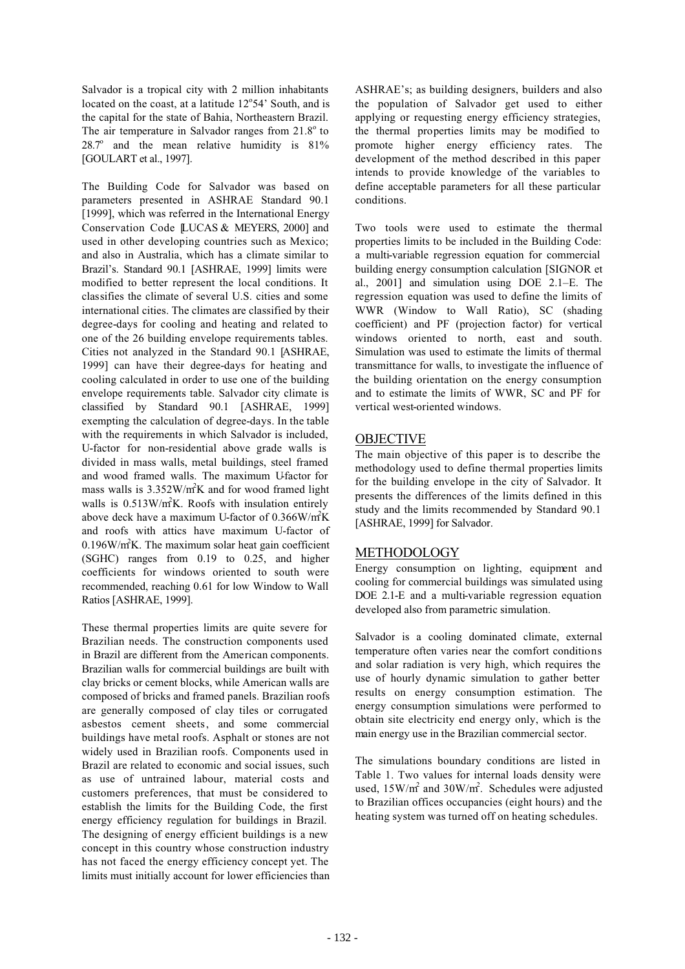Salvador is a tropical city with 2 million inhabitants located on the coast, at a latitude  $12^{\circ}54'$  South, and is the capital for the state of Bahia, Northeastern Brazil. The air temperature in Salvador ranges from  $21.8^\circ$  to  $28.7^\circ$  and the mean relative humidity is  $81\%$ [GOULART et al., 1997].

The Building Code for Salvador was based on parameters presented in ASHRAE Standard 90.1 [1999], which was referred in the International Energy Conservation Code [LUCAS & MEYERS, 2000] and used in other developing countries such as Mexico; and also in Australia, which has a climate similar to Brazil's. Standard 90.1 [ASHRAE, 1999] limits were modified to better represent the local conditions. It classifies the climate of several U.S. cities and some international cities. The climates are classified by their degree-days for cooling and heating and related to one of the 26 building envelope requirements tables. Cities not analyzed in the Standard 90.1 [ASHRAE, 1999] can have their degree-days for heating and cooling calculated in order to use one of the building envelope requirements table. Salvador city climate is classified by Standard 90.1 [ASHRAE, 1999] exempting the calculation of degree-days. In the table with the requirements in which Salvador is included, U-factor for non-residential above grade walls is divided in mass walls, metal buildings, steel framed and wood framed walls. The maximum U-factor for mass walls is  $3.352W/m<sup>2</sup>K$  and for wood framed light walls is  $0.513W/m<sup>2</sup>K$ . Roofs with insulation entirely above deck have a maximum U-factor of 0.366W/m<sup>2</sup>K and roofs with attics have maximum U-factor of  $0.196$ W/m<sup>2</sup>K. The maximum solar heat gain coefficient (SGHC) ranges from 0.19 to 0.25, and higher coefficients for windows oriented to south were recommended, reaching 0.61 for low Window to Wall Ratios [ASHRAE, 1999].

These thermal properties limits are quite severe for Brazilian needs. The construction components used in Brazil are different from the American components. Brazilian walls for commercial buildings are built with clay bricks or cement blocks, while American walls are composed of bricks and framed panels. Brazilian roofs are generally composed of clay tiles or corrugated asbestos cement sheets, and some commercial buildings have metal roofs. Asphalt or stones are not widely used in Brazilian roofs. Components used in Brazil are related to economic and social issues, such as use of untrained labour, material costs and customers preferences, that must be considered to establish the limits for the Building Code, the first energy efficiency regulation for buildings in Brazil. The designing of energy efficient buildings is a new concept in this country whose construction industry has not faced the energy efficiency concept yet. The limits must initially account for lower efficiencies than

ASHRAE's; as building designers, builders and also the population of Salvador get used to either applying or requesting energy efficiency strategies, the thermal properties limits may be modified to promote higher energy efficiency rates. The development of the method described in this paper intends to provide knowledge of the variables to define acceptable parameters for all these particular conditions.

Two tools were used to estimate the thermal properties limits to be included in the Building Code: a multi-variable regression equation for commercial building energy consumption calculation [SIGNOR et al., 2001] and simulation using DOE 2.1–E. The regression equation was used to define the limits of WWR (Window to Wall Ratio), SC (shading coefficient) and PF (projection factor) for vertical windows oriented to north, east and south. Simulation was used to estimate the limits of thermal transmittance for walls, to investigate the influence of the building orientation on the energy consumption and to estimate the limits of WWR, SC and PF for vertical west-oriented windows.

## **OBJECTIVE**

The main objective of this paper is to describe the methodology used to define thermal properties limits for the building envelope in the city of Salvador. It presents the differences of the limits defined in this study and the limits recommended by Standard 90.1 [ASHRAE, 1999] for Salvador.

## METHODOLOGY

Energy consumption on lighting, equipment and cooling for commercial buildings was simulated using DOE 2.1-E and a multi-variable regression equation developed also from parametric simulation.

Salvador is a cooling dominated climate, external temperature often varies near the comfort conditions and solar radiation is very high, which requires the use of hourly dynamic simulation to gather better results on energy consumption estimation. The energy consumption simulations were performed to obtain site electricity end energy only, which is the main energy use in the Brazilian commercial sector.

The simulations boundary conditions are listed in Table 1. Two values for internal loads density were used,  $15W/m^2$  and  $30W/m^2$ . Schedules were adjusted to Brazilian offices occupancies (eight hours) and the heating system was turned off on heating schedules.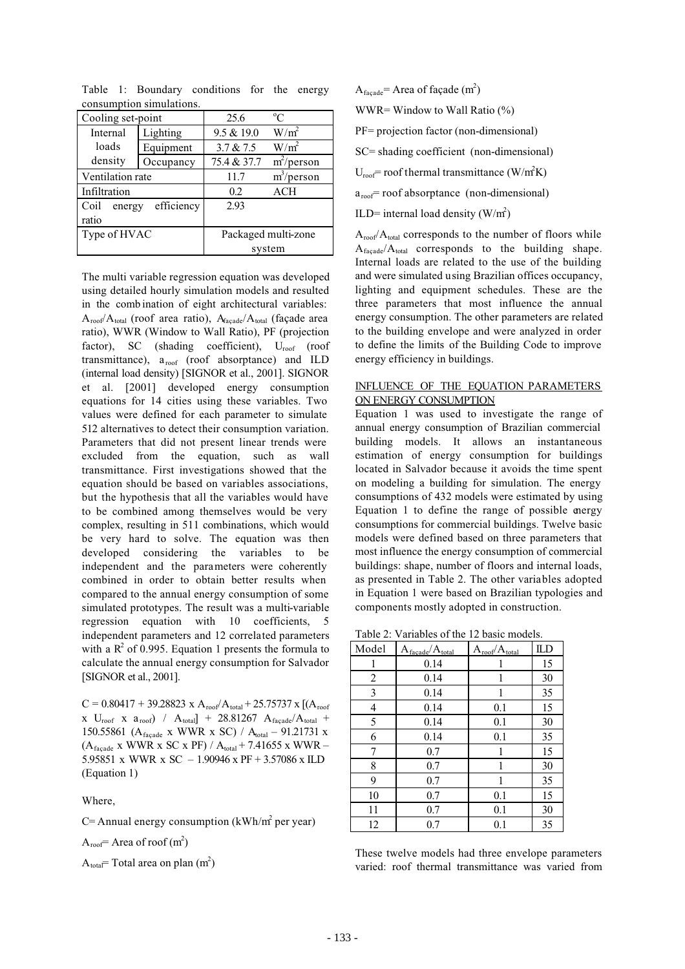| CONSUMPTION SHIRTAGUONS.     |           |                     |               |  |
|------------------------------|-----------|---------------------|---------------|--|
| Cooling set-point            |           | 25.6                | $^{\circ}C$   |  |
| Internal                     | Lighting  | 9.5 & 19.0          | $W/m^2$       |  |
| loads                        | Equipment | 3.7 & 2.5           | $W/m^2$       |  |
| density                      | Occupancy | 75.4 & 37.7         | $m^2$ /person |  |
| Ventilation rate             |           | 11.7                | $m^3$ /person |  |
| Infiltration                 |           | 0.2                 | <b>ACH</b>    |  |
| efficiency<br>Coil<br>energy |           | 2.93                |               |  |
| ratio                        |           |                     |               |  |
| Type of HVAC                 |           | Packaged multi-zone |               |  |
|                              |           | system              |               |  |

Table 1: Boundary conditions for the energy consumption simulations.

The multi variable regression equation was developed using detailed hourly simulation models and resulted in the comb ination of eight architectural variables:  $A_{\text{roof}}/A_{\text{total}}$  (roof area ratio),  $A_{\text{facade}}/A_{\text{total}}$  (façade area ratio), WWR (Window to Wall Ratio), PF (projection factor), SC (shading coefficient),  $U_{\text{roof}}$  (roof transmittance),  $a_{\text{roof}}$  (roof absorptance) and ILD (internal load density) [SIGNOR et al., 2001]. SIGNOR et al. [2001] developed energy consumption equations for 14 cities using these variables. Two values were defined for each parameter to simulate 512 alternatives to detect their consumption variation. Parameters that did not present linear trends were excluded from the equation, such as wall transmittance. First investigations showed that the equation should be based on variables associations, but the hypothesis that all the variables would have to be combined among themselves would be very complex, resulting in 511 combinations, which would be very hard to solve. The equation was then developed considering the variables to be independent and the parameters were coherently combined in order to obtain better results when compared to the annual energy consumption of some simulated prototypes. The result was a multi-variable regression equation with 10 coefficients, 5 independent parameters and 12 correlated parameters with a  $R^2$  of 0.995. Equation 1 presents the formula to calculate the annual energy consumption for Salvador [SIGNOR et al., 2001].

 $C = 0.80417 + 39.28823$  x  $A_{root}/A_{total} + 25.75737$  x  $[(A_{root}$ x  $U_{\text{roof}}$  x  $a_{\text{roof}}$  /  $A_{\text{total}}$  + 28.81267  $A_{\text{facade}}/A_{\text{total}}$  + 150.55861 (A<sub>facade</sub> x WWR x SC) / A<sub>total</sub> – 91.21731 x  $(A_{\text{facade}}$  x WWR x SC x PF) /  $A_{\text{total}}$  + 7.41655 x WWR – 5.95851 x WWR x SC – 1.90946 x PF + 3.57086 x ILD (Equation 1)

Where,

C = Annual energy consumption (kWh/m<sup>2</sup> per year)

 $A_{\text{roof}}$  = Area of roof (m<sup>2</sup>)

 $A_{\text{total}}$ = Total area on plan (m<sup>2</sup>)

 $A_{\text{faqade}}$  = Area of façade (m<sup>2</sup>) WWR= Window to Wall Ratio (%) PF= projection factor (non-dimensional) SC= shading coefficient (non-dimensional)  $U_{\text{roof}}$  = roof thermal transmittance (W/m<sup>2</sup>K)  $a_{\text{roof}}$ = roof absorptance (non-dimensional) ILD= internal load density  $(W/m^2)$ 

 $A_{\text{root}}/A_{\text{total}}$  corresponds to the number of floors while  $A_{\text{facade}}/A_{\text{total}}$  corresponds to the building shape. Internal loads are related to the use of the building and were simulated using Brazilian offices occupancy, lighting and equipment schedules. These are the three parameters that most influence the annual energy consumption. The other parameters are related to the building envelope and were analyzed in order to define the limits of the Building Code to improve energy efficiency in buildings.

## INFLUENCE OF THE EQUATION PARAMETERS ON ENERGY CONSUMPTION

Equation 1 was used to investigate the range of annual energy consumption of Brazilian commercial building models. It allows an instantaneous estimation of energy consumption for buildings located in Salvador because it avoids the time spent on modeling a building for simulation. The energy consumptions of 432 models were estimated by using Equation 1 to define the range of possible energy consumptions for commercial buildings. Twelve basic models were defined based on three parameters that most influence the energy consumption of commercial buildings: shape, number of floors and internal loads, as presented in Table 2. The other variables adopted in Equation 1 were based on Brazilian typologies and components mostly adopted in construction.

Table 2: Variables of the 12 basic models.

| Model | $A_{\text{faqade}}/A_{\text{total}}$ | $A_{\text{roof}}/A_{\text{total}}$ | ILD |
|-------|--------------------------------------|------------------------------------|-----|
| 1     | 0.14                                 | 1                                  | 15  |
| 2     | 0.14                                 | 1                                  | 30  |
| 3     | 0.14                                 | 1                                  | 35  |
| 4     | 0.14                                 | 0.1                                | 15  |
| 5     | 0.14                                 | 0.1                                | 30  |
| 6     | 0.14                                 | 0.1                                | 35  |
| 7     | 0.7                                  | 1                                  | 15  |
| 8     | 0.7                                  | 1                                  | 30  |
| 9     | 0.7                                  | 1                                  | 35  |
| 10    | 0.7                                  | 0.1                                | 15  |
| 11    | 0.7                                  | 0.1                                | 30  |
| 12    | 0.7                                  | 0.1                                | 35  |

These twelve models had three envelope parameters varied: roof thermal transmittance was varied from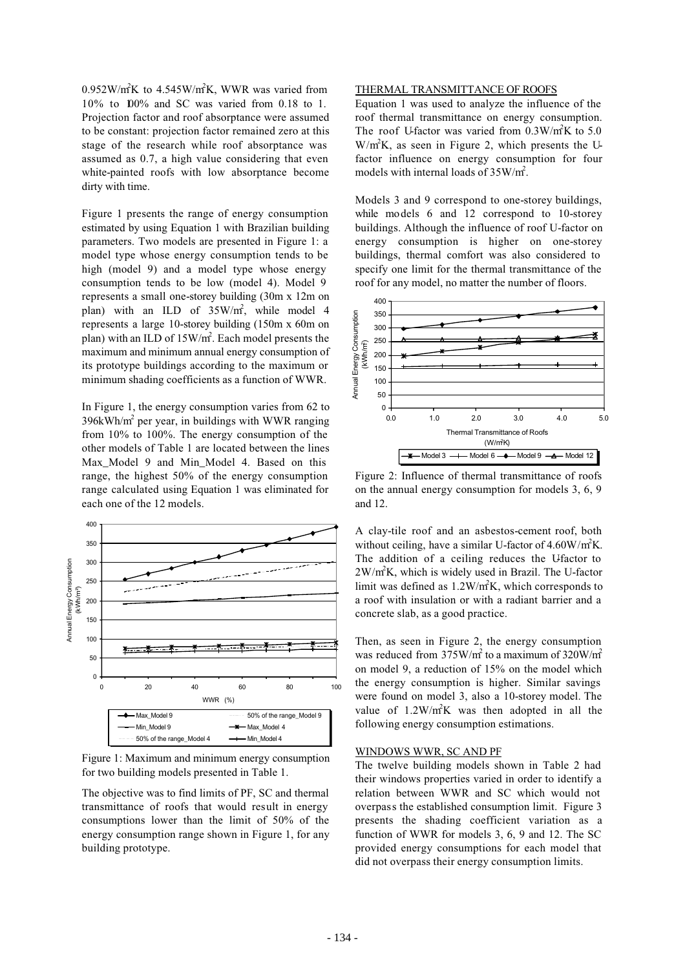$0.952$ W/m<sup>2</sup>K to 4.545W/m<sup>2</sup>K, WWR was varied from 10% to 100% and SC was varied from 0.18 to 1. Projection factor and roof absorptance were assumed to be constant: projection factor remained zero at this stage of the research while roof absorptance was assumed as 0.7, a high value considering that even white-painted roofs with low absorptance become dirty with time.

Figure 1 presents the range of energy consumption estimated by using Equation 1 with Brazilian building parameters. Two models are presented in Figure 1: a model type whose energy consumption tends to be high (model 9) and a model type whose energy consumption tends to be low (model 4). Model 9 represents a small one-storey building (30m x 12m on plan) with an ILD of  $35W/m^2$ , while model 4 represents a large 10-storey building (150m x 60m on plan) with an ILD of 15W/m<sup>2</sup>. Each model presents the maximum and minimum annual energy consumption of its prototype buildings according to the maximum or minimum shading coefficients as a function of WWR.

In Figure 1, the energy consumption varies from 62 to 396kWh/ $m^2$  per year, in buildings with WWR ranging from 10% to 100%. The energy consumption of the other models of Table 1 are located between the lines Max Model 9 and Min Model 4. Based on this range, the highest 50% of the energy consumption range calculated using Equation 1 was eliminated for each one of the 12 models.



Figure 1: Maximum and minimum energy consumption for two building models presented in Table 1.

The objective was to find limits of PF, SC and thermal transmittance of roofs that would result in energy consumptions lower than the limit of 50% of the energy consumption range shown in Figure 1, for any building prototype.

### THERMAL TRANSMITTANCE OF ROOFS

Equation 1 was used to analyze the influence of the roof thermal transmittance on energy consumption. The roof U-factor was varied from  $0.3 \text{W/m}^2 \text{K}$  to 5.0  $W/m<sup>2</sup>K$ , as seen in Figure 2, which presents the Ufactor influence on energy consumption for four models with internal loads of  $35W/m^2$ .

Models 3 and 9 correspond to one-storey buildings, while models 6 and 12 correspond to 10-storey buildings. Although the influence of roof U-factor on energy consumption is higher on one-storey buildings, thermal comfort was also considered to specify one limit for the thermal transmittance of the roof for any model, no matter the number of floors.

![](_page_3_Figure_9.jpeg)

Figure 2: Influence of thermal transmittance of roofs on the annual energy consumption for models 3, 6, 9 and 12.

A clay-tile roof and an asbestos-cement roof, both without ceiling, have a similar U-factor of  $4.60 \text{W/m}^2\text{K}$ . The addition of a ceiling reduces the Ufactor to 2W/m2 K, which is widely used in Brazil. The U-factor limit was defined as  $1.2 \text{W/m}^2 \text{K}$ , which corresponds to a roof with insulation or with a radiant barrier and a concrete slab, as a good practice.

Then, as seen in Figure 2, the energy consumption was reduced from  $375$ W/m<sup>2</sup> to a maximum of  $320$ W/m<sup>2</sup> on model 9, a reduction of 15% on the model which the energy consumption is higher. Similar savings were found on model 3, also a 10-storey model. The value of  $1.2 \text{W/m}^2\text{K}$  was then adopted in all the following energy consumption estimations.

#### WINDOWS WWR, SC AND PF

The twelve building models shown in Table 2 had their windows properties varied in order to identify a relation between WWR and SC which would not overpass the established consumption limit. Figure 3 presents the shading coefficient variation as a function of WWR for models 3, 6, 9 and 12. The SC provided energy consumptions for each model that did not overpass their energy consumption limits.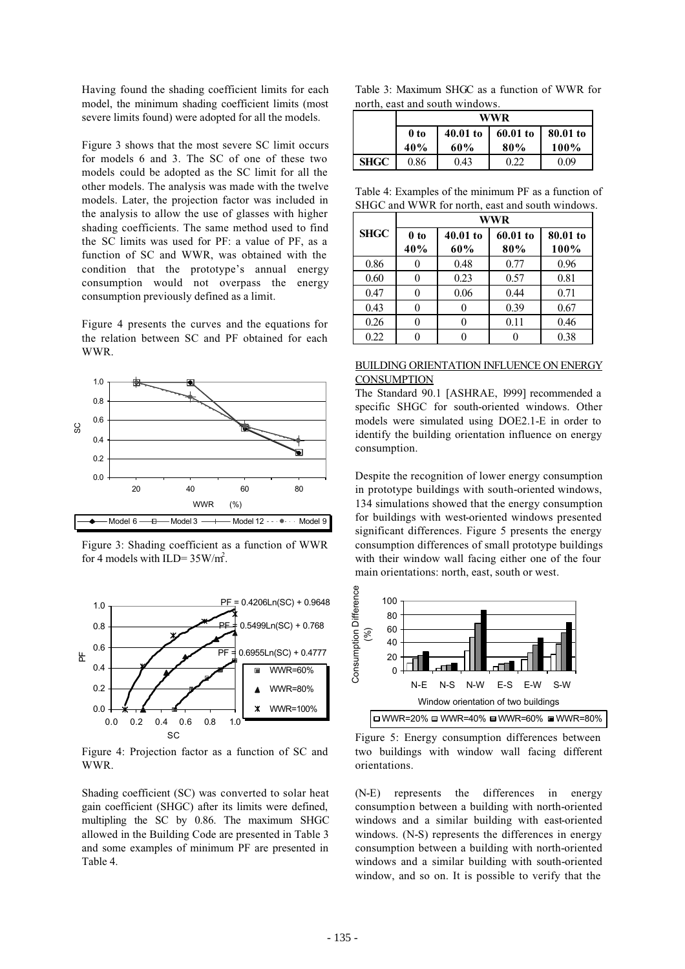Having found the shading coefficient limits for each model, the minimum shading coefficient limits (most severe limits found) were adopted for all the models.

Figure 3 shows that the most severe SC limit occurs for models 6 and 3. The SC of one of these two models could be adopted as the SC limit for all the other models. The analysis was made with the twelve models. Later, the projection factor was included in the analysis to allow the use of glasses with higher shading coefficients. The same method used to find the SC limits was used for PF: a value of PF, as a function of SC and WWR, was obtained with the condition that the prototype's annual energy consumption would not overpass the energy consumption previously defined as a limit.

Figure 4 presents the curves and the equations for the relation between SC and PF obtained for each WWR.

![](_page_4_Figure_3.jpeg)

Figure 3: Shading coefficient as a function of WWR for 4 models with ILD= $35W/m^2$ .

![](_page_4_Figure_5.jpeg)

Figure 4: Projection factor as a function of SC and WWR.

Shading coefficient (SC) was converted to solar heat gain coefficient (SHGC) after its limits were defined, multipling the SC by 0.86. The maximum SHGC allowed in the Building Code are presented in Table 3 and some examples of minimum PF are presented in Table 4.

Table 3: Maximum SHGC as a function of WWR for north, east and south windows.

|             | WWR  |            |          |          |
|-------------|------|------------|----------|----------|
|             | 0 to | $40.01$ to | 60.01 to | 80.01 to |
|             | 40%  | 60%        | 80%      | $100\%$  |
| <b>SHGC</b> | 0.86 | 0.43       | 0.22     | 0.09     |

Table 4: Examples of the minimum PF as a function of SHGC and WWR for north, east and south windows.

|             | WWR                    |                   |                 |                  |
|-------------|------------------------|-------------------|-----------------|------------------|
| <b>SHGC</b> | 0 <sub>to</sub><br>40% | $40.01$ to<br>60% | 60.01 to<br>80% | 80.01 to<br>100% |
| 0.86        |                        | 0.48              | 0.77            | 0.96             |
| 0.60        |                        | 0.23              | 0.57            | 0.81             |
| 0.47        |                        | 0.06              | 0.44            | 0.71             |
| 0.43        |                        | 0                 | 0.39            | 0.67             |
| 0.26        |                        |                   | 0.11            | 0.46             |
| 0.22        |                        |                   |                 | 0.38             |

### BUILDING ORIENTATION INFLUENCE ON ENERGY **CONSUMPTION**

The Standard 90.1 [ASHRAE, 1999] recommended a specific SHGC for south-oriented windows. Other models were simulated using DOE2.1-E in order to identify the building orientation influence on energy consumption.

Despite the recognition of lower energy consumption in prototype buildings with south-oriented windows, 134 simulations showed that the energy consumption for buildings with west-oriented windows presented significant differences. Figure 5 presents the energy consumption differences of small prototype buildings with their window wall facing either one of the four main orientations: north, east, south or west.

![](_page_4_Figure_15.jpeg)

Figure 5: Energy consumption differences between two buildings with window wall facing different orientations.

(N-E) represents the differences in energy consumption between a building with north-oriented windows and a similar building with east-oriented windows. (N-S) represents the differences in energy consumption between a building with north-oriented windows and a similar building with south-oriented window, and so on. It is possible to verify that the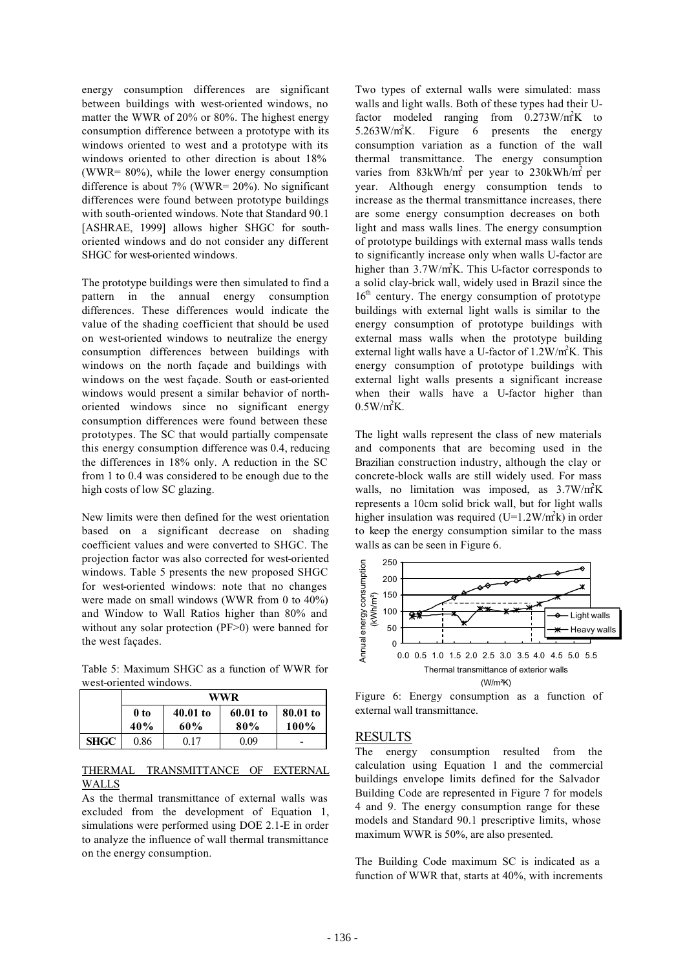energy consumption differences are significant between buildings with west-oriented windows, no matter the WWR of 20% or 80%. The highest energy consumption difference between a prototype with its windows oriented to west and a prototype with its windows oriented to other direction is about 18% (WWR= 80%), while the lower energy consumption difference is about 7% (WWR= 20%). No significant differences were found between prototype buildings with south-oriented windows. Note that Standard 90.1 [ASHRAE, 1999] allows higher SHGC for southoriented windows and do not consider any different SHGC for west-oriented windows.

The prototype buildings were then simulated to find a pattern in the annual energy consumption differences. These differences would indicate the value of the shading coefficient that should be used on west-oriented windows to neutralize the energy consumption differences between buildings with windows on the north façade and buildings with windows on the west façade. South or east-oriented windows would present a similar behavior of northoriented windows since no significant energy consumption differences were found between these prototypes. The SC that would partially compensate this energy consumption difference was 0.4, reducing the differences in 18% only. A reduction in the SC from 1 to 0.4 was considered to be enough due to the high costs of low SC glazing.

New limits were then defined for the west orientation based on a significant decrease on shading coefficient values and were converted to SHGC. The projection factor was also corrected for west-oriented windows. Table 5 presents the new proposed SHGC for west-oriented windows: note that no changes were made on small windows (WWR from 0 to 40%) and Window to Wall Ratios higher than 80% and without any solar protection (PF>0) were banned for the west façades.

Table 5: Maximum SHGC as a function of WWR for west-oriented windows.

|             | WWR  |            |          |          |
|-------------|------|------------|----------|----------|
|             | 0 to | $40.01$ to | 60.01 to | 80.01 to |
|             | 40%  | 60%        | 80%      | 100%     |
| <b>SHGC</b> | 0.86 | 0.17       | 0.09     |          |

### THERMAL TRANSMITTANCE OF EXTERNAL WALLS

As the thermal transmittance of external walls was excluded from the development of Equation 1, simulations were performed using DOE 2.1-E in order to analyze the influence of wall thermal transmittance on the energy consumption.

Two types of external walls were simulated: mass walls and light walls. Both of these types had their Ufactor modeled ranging from  $0.273 \text{W/m}^2\text{K}$  to  $5.263 \text{W/m}^2\text{K}$ . Figure 6 presents the energy consumption variation as a function of the wall thermal transmittance. The energy consumption varies from  $83kWh/m^2$  per year to  $230kWh/m^2$  per year. Although energy consumption tends to increase as the thermal transmittance increases, there are some energy consumption decreases on both light and mass walls lines. The energy consumption of prototype buildings with external mass walls tends to significantly increase only when walls U-factor are higher than  $3.7W/m<sup>2</sup>K$ . This U-factor corresponds to a solid clay-brick wall, widely used in Brazil since the  $16<sup>th</sup>$  century. The energy consumption of prototype buildings with external light walls is similar to the energy consumption of prototype buildings with external mass walls when the prototype building external light walls have a U-factor of  $1.2 \text{W/m}^2 \text{K}$ . This energy consumption of prototype buildings with external light walls presents a significant increase when their walls have a U-factor higher than  $0.5 W/m^2K$ .

The light walls represent the class of new materials and components that are becoming used in the Brazilian construction industry, although the clay or concrete-block walls are still widely used. For mass walls, no limitation was imposed, as 3.7W/m<sup>2</sup>K represents a 10cm solid brick wall, but for light walls higher insulation was required  $(U=1.2 W/m<sup>2</sup>k)$  in order to keep the energy consumption similar to the mass walls as can be seen in Figure 6.

![](_page_5_Figure_9.jpeg)

Figure 6: Energy consumption as a function of external wall transmittance.

## RESULTS

The energy consumption resulted from the calculation using Equation 1 and the commercial buildings envelope limits defined for the Salvador Building Code are represented in Figure 7 for models 4 and 9. The energy consumption range for these models and Standard 90.1 prescriptive limits, whose maximum WWR is 50%, are also presented.

The Building Code maximum SC is indicated as a function of WWR that, starts at 40%, with increments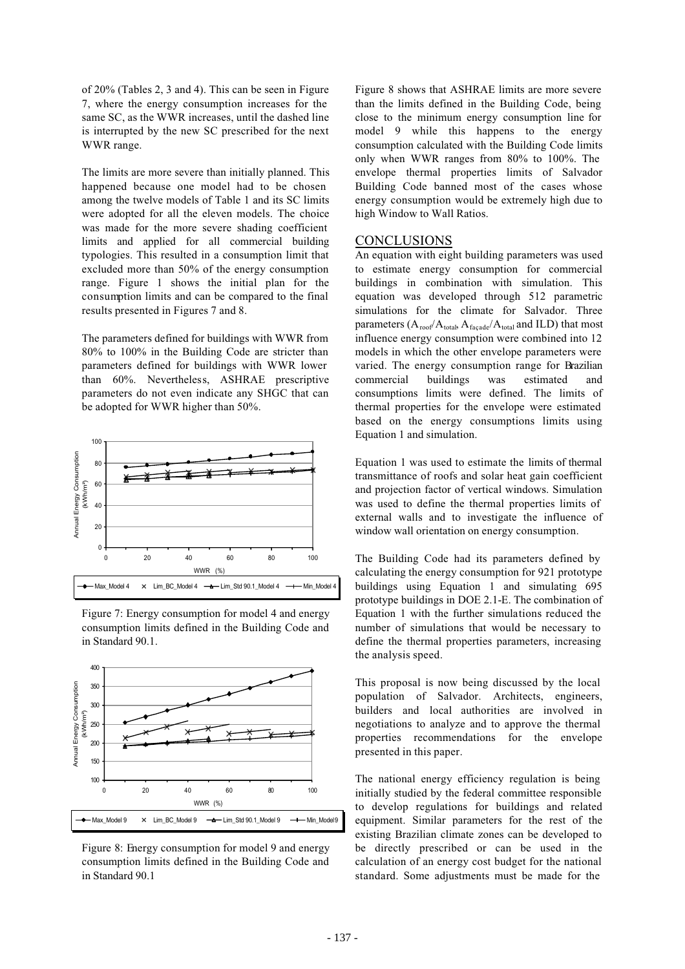of 20% (Tables 2, 3 and 4). This can be seen in Figure 7, where the energy consumption increases for the same SC, as the WWR increases, until the dashed line is interrupted by the new SC prescribed for the next WWR range.

The limits are more severe than initially planned. This happened because one model had to be chosen among the twelve models of Table 1 and its SC limits were adopted for all the eleven models. The choice was made for the more severe shading coefficient limits and applied for all commercial building typologies. This resulted in a consumption limit that excluded more than 50% of the energy consumption range. Figure 1 shows the initial plan for the consumption limits and can be compared to the final results presented in Figures 7 and 8.

The parameters defined for buildings with WWR from 80% to 100% in the Building Code are stricter than parameters defined for buildings with WWR lower than 60%. Nevertheless, ASHRAE prescriptive parameters do not even indicate any SHGC that can be adopted for WWR higher than 50%.

![](_page_6_Figure_3.jpeg)

Figure 7: Energy consumption for model 4 and energy consumption limits defined in the Building Code and in Standard 90.1.

![](_page_6_Figure_5.jpeg)

Figure 8: Energy consumption for model 9 and energy consumption limits defined in the Building Code and in Standard 90.1

Figure 8 shows that ASHRAE limits are more severe than the limits defined in the Building Code, being close to the minimum energy consumption line for model 9 while this happens to the energy consumption calculated with the Building Code limits only when WWR ranges from 80% to 100%. The envelope thermal properties limits of Salvador Building Code banned most of the cases whose energy consumption would be extremely high due to high Window to Wall Ratios.

#### **CONCLUSIONS**

An equation with eight building parameters was used to estimate energy consumption for commercial buildings in combination with simulation. This equation was developed through 512 parametric simulations for the climate for Salvador. Three parameters  $(A_{\text{roof}}/A_{\text{total}}, A_{\text{facade}}/A_{\text{total}})$  and ILD) that most influence energy consumption were combined into 12 models in which the other envelope parameters were varied. The energy consumption range for Brazilian commercial buildings was estimated and consumptions limits were defined. The limits of thermal properties for the envelope were estimated based on the energy consumptions limits using Equation 1 and simulation.

Equation 1 was used to estimate the limits of thermal transmittance of roofs and solar heat gain coefficient and projection factor of vertical windows. Simulation was used to define the thermal properties limits of external walls and to investigate the influence of window wall orientation on energy consumption.

The Building Code had its parameters defined by calculating the energy consumption for 921 prototype buildings using Equation 1 and simulating 695 prototype buildings in DOE 2.1-E. The combination of Equation 1 with the further simulations reduced the number of simulations that would be necessary to define the thermal properties parameters, increasing the analysis speed.

This proposal is now being discussed by the local population of Salvador. Architects, engineers, builders and local authorities are involved in negotiations to analyze and to approve the thermal properties recommendations for the envelope presented in this paper.

The national energy efficiency regulation is being initially studied by the federal committee responsible to develop regulations for buildings and related equipment. Similar parameters for the rest of the existing Brazilian climate zones can be developed to be directly prescribed or can be used in the calculation of an energy cost budget for the national standard. Some adjustments must be made for the